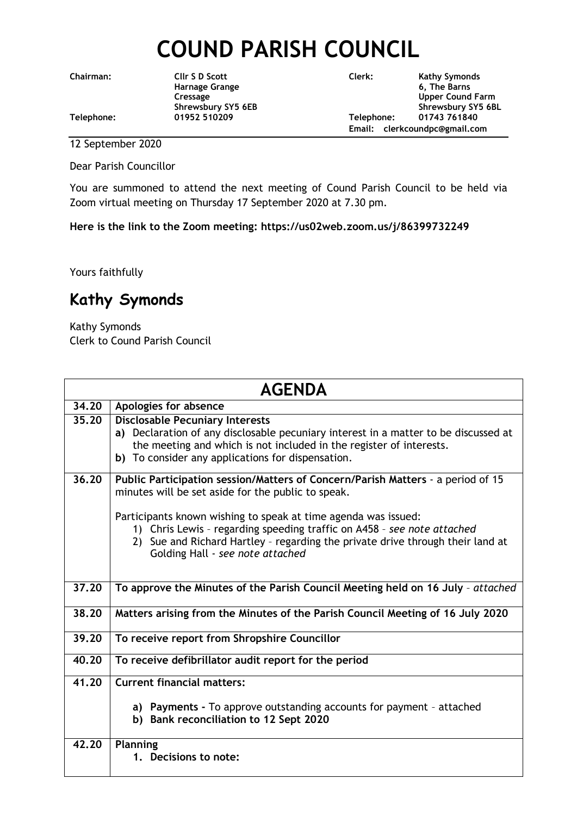## **COUND PARISH COUNCIL**

**Chairman: Cllr S D Scott Clerk: Kathy Symonds**

**Harnage Grange 6, The Barns Cressage Cressage Cressage Cressage Cressage Cressage Cressage Cressage Cressage Cressage Cressage Cressage Cressage Cressage Cressage Cressage Cressage Cressage Cressage Cressage Cressage Cressage Cressage Cressage Cress** Shrewsbury SY5 6EB Shrewsbury SY5 6BL **Telephone: 01952 510209 Telephone: 01743 761840 Email: clerkcoundpc@gmail.com**

12 September 2020

Dear Parish Councillor

You are summoned to attend the next meeting of Cound Parish Council to be held via Zoom virtual meeting on Thursday 17 September 2020 at 7.30 pm.

**Here is the link to the Zoom meeting: https://us02web.zoom.us/j/86399732249**

Yours faithfully

## **Kathy Symonds**

Kathy Symonds Clerk to Cound Parish Council

| <b>AGENDA</b> |                                                                                                                                                                                                                                                                 |
|---------------|-----------------------------------------------------------------------------------------------------------------------------------------------------------------------------------------------------------------------------------------------------------------|
| 34.20         | Apologies for absence                                                                                                                                                                                                                                           |
| 35.20         | <b>Disclosable Pecuniary Interests</b><br>a) Declaration of any disclosable pecuniary interest in a matter to be discussed at                                                                                                                                   |
|               | the meeting and which is not included in the register of interests.<br>b) To consider any applications for dispensation.                                                                                                                                        |
| 36.20         | Public Participation session/Matters of Concern/Parish Matters - a period of 15<br>minutes will be set aside for the public to speak.                                                                                                                           |
|               | Participants known wishing to speak at time agenda was issued:<br>1) Chris Lewis - regarding speeding traffic on A458 - see note attached<br>2) Sue and Richard Hartley - regarding the private drive through their land at<br>Golding Hall - see note attached |
| 37.20         | To approve the Minutes of the Parish Council Meeting held on 16 July - attached                                                                                                                                                                                 |
| 38.20         | Matters arising from the Minutes of the Parish Council Meeting of 16 July 2020                                                                                                                                                                                  |
| 39.20         | To receive report from Shropshire Councillor                                                                                                                                                                                                                    |
| 40.20         | To receive defibrillator audit report for the period                                                                                                                                                                                                            |
| 41.20         | <b>Current financial matters:</b>                                                                                                                                                                                                                               |
|               | a) Payments - To approve outstanding accounts for payment - attached<br>b) Bank reconciliation to 12 Sept 2020                                                                                                                                                  |
| 42.20         | <b>Planning</b><br>1. Decisions to note:                                                                                                                                                                                                                        |